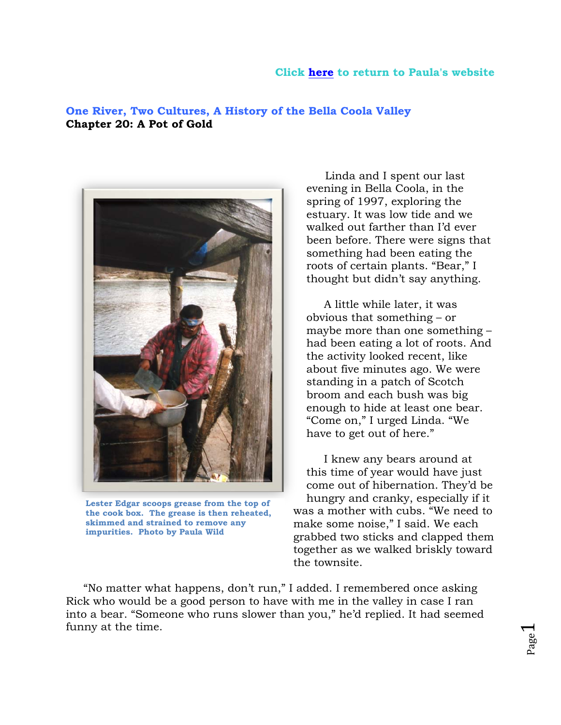## **Click [here](http://www.paulawild.ca/?page_id=107) to return to Paula's website**

## **One River, Two Cultures, A History of the Bella Coola Valley Chapter 20: A Pot of Gold**



**Lester Edgar scoops grease from the top of the cook box. The grease is then reheated, skimmed and strained to remove any impurities. Photo by Paula Wild**

Linda and I spent our last evening in Bella Coola, in the spring of 1997, exploring the estuary. It was low tide and we walked out farther than I'd ever been before. There were signs that something had been eating the roots of certain plants. "Bear," I thought but didn't say anything.

 A little while later, it was obvious that something – or maybe more than one something – had been eating a lot of roots. And the activity looked recent, like about five minutes ago. We were standing in a patch of Scotch broom and each bush was big enough to hide at least one bear. "Come on," I urged Linda. "We have to get out of here."

 I knew any bears around at this time of year would have just come out of hibernation. They'd be hungry and cranky, especially if it was a mother with cubs. "We need to make some noise," I said. We each grabbed two sticks and clapped them together as we walked briskly toward the townsite.

 "No matter what happens, don't run," I added. I remembered once asking Rick who would be a good person to have with me in the valley in case I ran into a bear. "Someone who runs slower than you," he'd replied. It had seemed funny at the time.